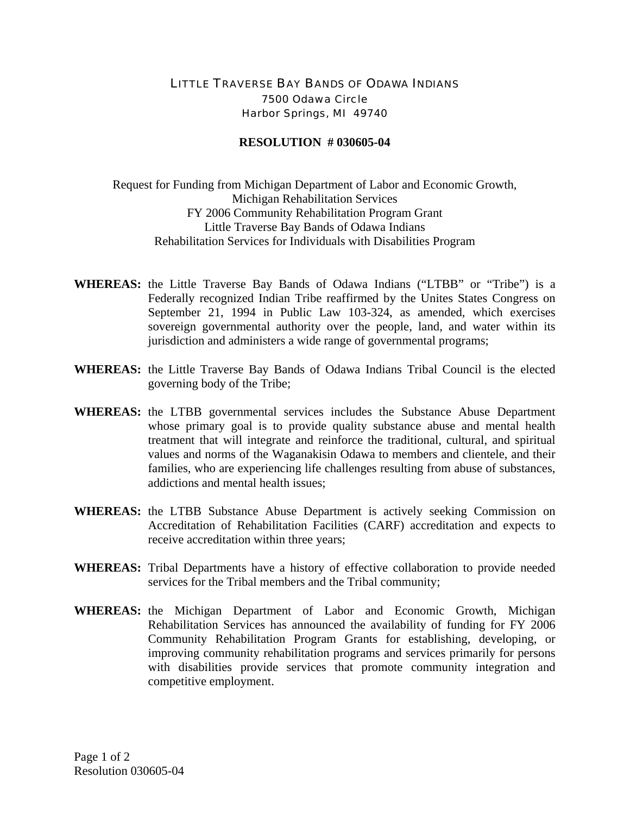## LITTLE TRAVERSE BAY BANDS OF ODAWA INDIANS 7500 Odawa Circle Harbor Springs, MI 49740

## **RESOLUTION # 030605-04**

Request for Funding from Michigan Department of Labor and Economic Growth, Michigan Rehabilitation Services FY 2006 Community Rehabilitation Program Grant Little Traverse Bay Bands of Odawa Indians Rehabilitation Services for Individuals with Disabilities Program

- **WHEREAS:** the Little Traverse Bay Bands of Odawa Indians ("LTBB" or "Tribe") is a Federally recognized Indian Tribe reaffirmed by the Unites States Congress on September 21, 1994 in Public Law 103-324, as amended, which exercises sovereign governmental authority over the people, land, and water within its jurisdiction and administers a wide range of governmental programs;
- **WHEREAS:** the Little Traverse Bay Bands of Odawa Indians Tribal Council is the elected governing body of the Tribe;
- **WHEREAS:** the LTBB governmental services includes the Substance Abuse Department whose primary goal is to provide quality substance abuse and mental health treatment that will integrate and reinforce the traditional, cultural, and spiritual values and norms of the Waganakisin Odawa to members and clientele, and their families, who are experiencing life challenges resulting from abuse of substances, addictions and mental health issues;
- **WHEREAS:** the LTBB Substance Abuse Department is actively seeking Commission on Accreditation of Rehabilitation Facilities (CARF) accreditation and expects to receive accreditation within three years;
- **WHEREAS:** Tribal Departments have a history of effective collaboration to provide needed services for the Tribal members and the Tribal community;
- **WHEREAS:** the Michigan Department of Labor and Economic Growth, Michigan Rehabilitation Services has announced the availability of funding for FY 2006 Community Rehabilitation Program Grants for establishing, developing, or improving community rehabilitation programs and services primarily for persons with disabilities provide services that promote community integration and competitive employment.